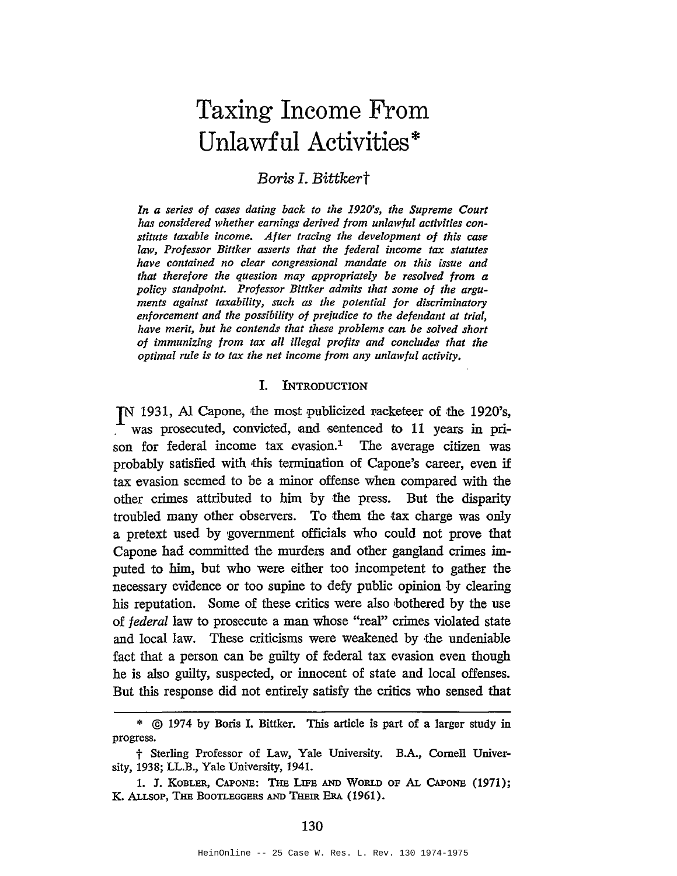# Taxing Income From Unlawful Activities\*

## *Boris I. Bittkert*

*In a series of cases dating back to the 1920's, the Supreme Court has considered whether earnings derived from unlawful activities constitute taxable income. After tracing the development of this case law, Professor Bittker asserts that the federal income tax statutes have contained no clear congressional mandate on this issue and that therefore the question may appropriately be resolved from a policy standpoint. Professor Bittker admits that some of the arguments against taxability, such as the potential for discriminatory enforcement and the possibility of prejudice to the defendant at trial, have merit, but he contends that these problems can be solved short of immunizing from tax all illegal profits and concludes that the optimal rule is to tax the net income from any unlawful activity.*

#### I. INTRODUCTION

IN 1931, Al Capone, the most publicized racketeer of the 1920's, was prosecuted, convicted, and sentenced to 11 years in prison for federal income tax evasion.<sup>1</sup> The average citizen was probably satisfied with 'this termination of Capone's career, even if tax evasion seemed to be a minor offense when compared with the other crimes attributed to him by the press. But the disparity troubled many other observers. To them the tax charge was only a pretext used by government officials who could not prove that Capone had committed the murders and other gangland crimes imputed to him, but who were either too incompetent to gather the necessary evidence or too supine to defy public opinion by clearing his reputation. Some of these critics were also bothered by the use of federal law to prosecute a man whose "real" crimes violated state and local law. These criticisms were weakened by ·the undeniable fact that a person can be guilty of federal tax evasion even though he is also guilty, suspected, or innocent of state and local offenses. But this response did not entirely satisfy the critics who sensed that

<sup>\*</sup> © <sup>1974</sup> by Boris I. Bittker. This article is part of <sup>a</sup> larger study in progress.

t Sterling Professor of Law, Yale University. B.A., Cornell University, 1938; LL.B., Yale University, 1941.

<sup>1.</sup> J. KOBLER, CAPONE: THE LIFE AND WORLD OF AL CAPONE (1971); K. ALLSOP, THE BOOTLEGGERS AND THEIR ERA (1961).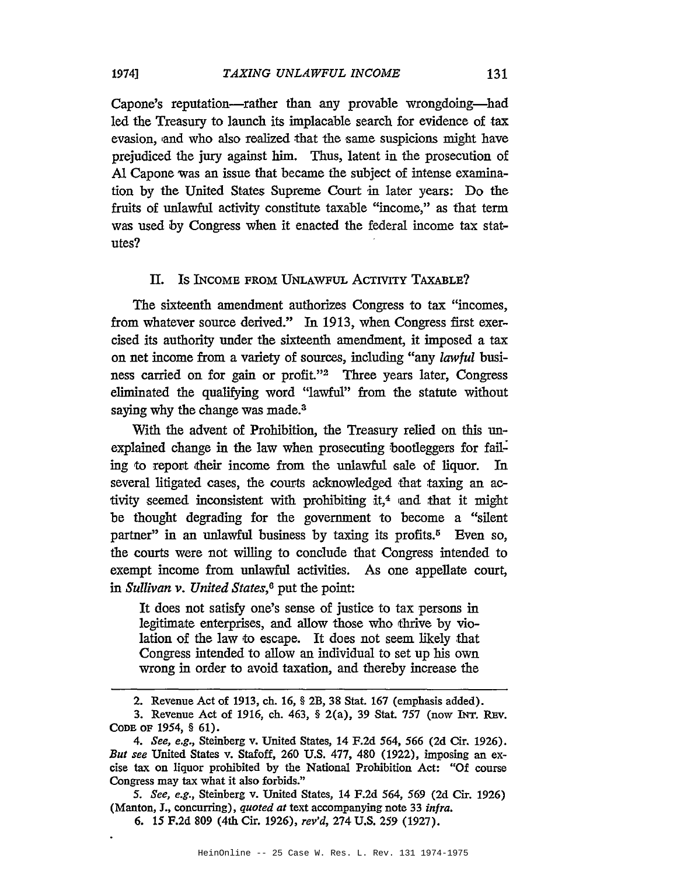Capone's reputation-rather than any provable wrongdoing-had led the Treasury to launch its implacable search for evidence of tax evasion, 'and who also realized that the same suspicions might have prejudiced the jury against him. Thus, latent in the prosecution of AI Capone was an issue that became the subject of intense examination by the United States Supreme Court in later years: Do the fruits of unlawful activity constitute taxable "income," as that term was used by Congress when it enacted the federal income tax statutes?

#### II. Is INCOME FROM UNLAWFUL ACTIVITY TAXABLE?

The sixteenth amendment authorizes Congress to tax "incomes, from whatever source derived." In 1913, when Congress first exercised its authority under the sixteenth amendment, it imposed a tax on net income from a variety of sources, including "any lawful business carried on for gain or profit."2 Three years later, Congress eliminated the qualifying word "lawful" from the statute without saying why the change was made.<sup>3</sup>

With the advent of Prohibition, the Treasury relied on this unexplained change in the law when prosecuting bootleggers for failing to report their income from the unlawful sale of liquor. In several litigated cases, the courts acknowledged that taxing an activity seemed inconsistent with prohibiting it,<sup>4</sup> and that it might be thought degrading for the government to become a "silent partner" in an unlawful business by taxing its profits.<sup>5</sup> Even so, the courts were not willing to conclude that Congress intended to exempt income from unlawful activities. As one appellate court, in *Sullivan v. United States, <sup>6</sup>* put the point:

It does not satisfy one's sense of justice to tax persons in legitimate enterprises, and allow those who thrive by violation of the law to escape. It does not seem likely that Congress intended to allow an individual to set up his own wrong in order to avoid taxation, and thereby increase the

*5. See, e.g.,* Steinberg v. United States, 14 F.2d 564, 569 (2d Cir. 1926) (Manton, J., concurring), *quoted at* text accompanying note 33 *infra.*

<sup>2.</sup> Revenue Act of 1913, ch. 16, § 2B, 38 Stat. 167 (emphasis added).

<sup>3.</sup> Revenue Act of 1916, ch. 463, § 2(a), 39 Stat 757 (now INT. REv. CODE OF 1954, § 61).

*<sup>4.</sup> See, e.g.,* Steinberg v. United States, 14 F.2d 564, 566 (2d Cir. 1926). *But see* United States v. Stafoff, 260 U.S. 477, 480 (1922), imposing an excise tax on liquor prohibited by the National Prohibition Act: "Of course Congress may tax what it also forbids."

<sup>6.</sup> 15 F.2d 809 (4th Cir. 1926), *rev'd,* 274 U.S. 259 (1927).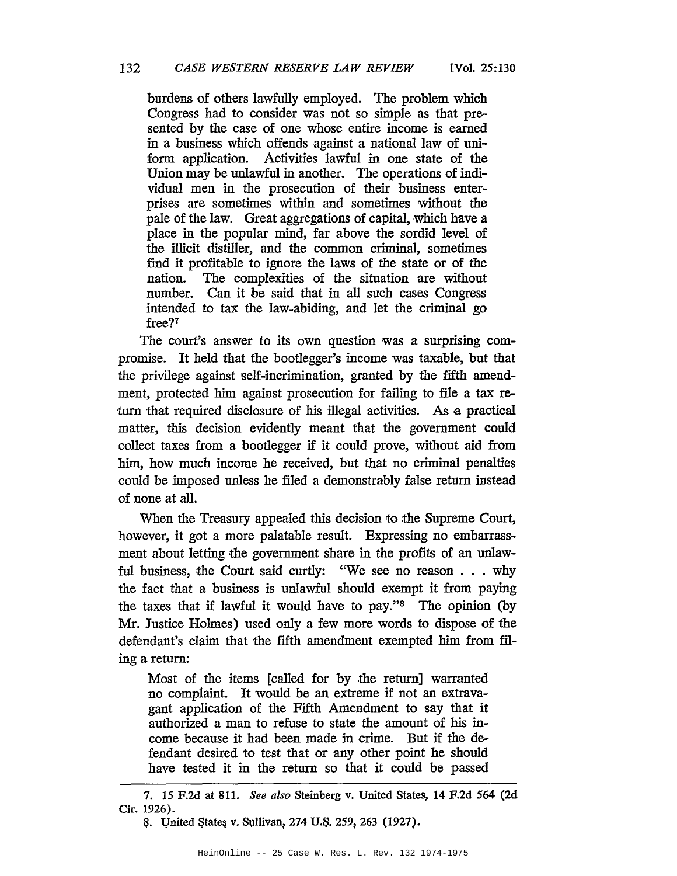burdens of others lawfully employed. The problem which Congress had to consider was not so simple as that presented by the case of one whose entire income is earned in a business which offends against a national law of uniform application. Activities lawful in one state of the Union may be unlawful in another. The operations of individual men in the prosecution of their business enterprises are sometimes within and sometimes without the pale of the law. Great aggregations of capital, which have a place in the popular mind, far above the sordid level of the illicit distiller, and the common criminal, sometimes find it profitable to ignore the laws of the state or of the nation. The complexities of the situation are without number. Can it be said that in all such cases Congress intended to tax the law-abiding, and let the criminal go free?7

The court's answer to its own question was a surprising compromise. It held that the bootlegger's income was taxable, but that the privilege against self-incrimination, granted by the fifth amendment, protected him against prosecution for failing to file a tax return that required disclosure of his illegal activities. As a practical matter, this decision evidently meant that the government could collect taxes from a bootlegger if it could prove, without aid from him, how much income he received, but that no criminal penalties could be imposed unless he filed a demonstrably false return instead of none at all.

When the Treasury appealed this decision to the Supreme Court, however, it got a more palatable result. Expressing no embarrassment about letting the government share in the profits of an unlawful business, the Court said curtly: "We see no reason . . . why the fact that a business is unlawful should exempt it from paying the taxes that if lawful it would have to pay."s The opinion (by Mr. Justice Holmes) used only a few more words to dispose of the defendant's claim that the fifth amendment exempted him from filing a return:

Most of the items [called for by the return] warranted no complaint. It would be an extreme if not an extravagant application of the Fifth Amendment to say that it authorized a man to refuse to state the amount of his income because it had been made in crime. But if the defendant desired to test that or any other point he should have tested it in the return so that it could be passed

<sup>7.</sup> 15 F.2d at 811. *See also* Steinberg v. United States, 14 F.2d 564 (2d Cir. 1926).

<sup>8.</sup> United States v. Sullivan, 274 U.S. 259, 263 (1927).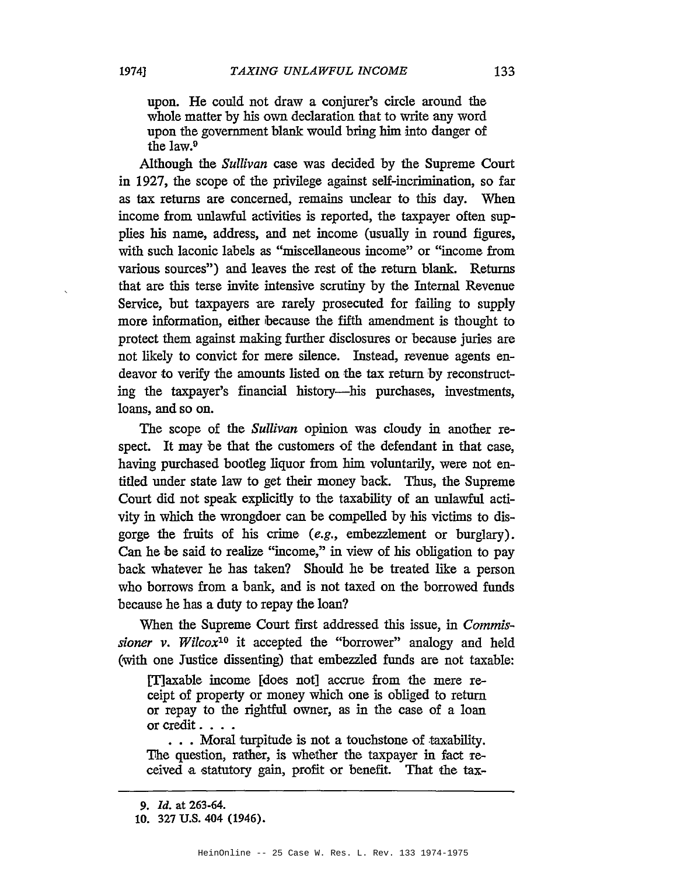upon. He could not draw a conjurer's circle around the whole matter by his own declaration that to write any word upon the government blank would bring him into danger of the law.9

Although the *Sullivan* case was decided by the Supreme Court in 1927, the scope of the privilege against self-incrimination, so far as tax returns are concerned, remains unclear to this day. When income from unlawful activities is reported, the taxpayer often supplies his name, address, and net income (usually in round figures, with such laconic labels as "miscellaneous income" or "income from various sources") and leaves the rest of the return blank. Returns that are this terse invite intensive scrutiny by the Internal Revenue Service, but taxpayers are rarely prosecuted for failing to supply more information, either because the fifth amendment is thought to protect them against making further disclosures or because juries are not likely to convict for mere silence. Instead, revenue agents endeavor to verify the amounts listed on the tax return by reconstructing the taxpayer's financial history-his purchases, investments, loans, and so on.

The scope of the *Sullivan* opinion was cloudy in another respect. It may be that the customers of the defendant in that case, having purchased bootleg liquor from him voluntarily, were not entitled under state law to get their money back. Thus, the Supreme Court did not speak explicitly to the taxability of an unlawful activity in which the wrongdoer can be compelled by his victims to disgorge the fruits of his crime (e.g., embezzlement or burglary). Can he be said to realize "income," in view of his obligation to pay back whatever he has taken? Should he be treated like a person who borrows from a bank, and is not taxed on the borrowed funds because he has a duty to repay the loan?

When the Supreme Court first addressed this issue, in *Commissioner v. Wilcox10* it accepted the "borrower" analogy and held (with one Justice dissenting) that embezzled funds are not taxable:

[T]axable income [does not] accrue from 'the mere receipt of property or money which one is obliged to return or repay to the rightful owner, as in the case of a loan or credit. ...

... Moral turpitude is not a touchstone of taxability. The question, rather, is whether the taxpayer in fact received a statutory gain, profit or benefit. That the tax-

<sup>9.</sup> ld. at 263-64.

<sup>10.</sup> 327 U.S. 404 (1946).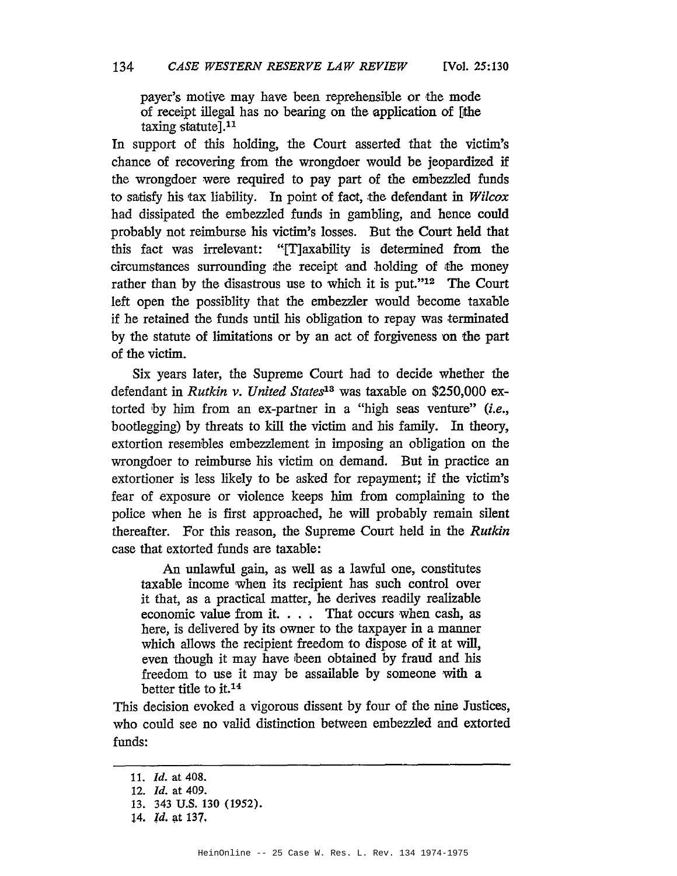payer's motive may have been reprehensible or the mode of receipt illegal has no bearing on the application of [the taxing statute].<sup>11</sup>

In support of this holding, the Court asserted that the victim's chance of recovering from the wrongdoer would be jeopardized if the wrongdoer were required to pay part of the embezzled funds to satisfy his tax liability. In point of fact, the defendant in *Wilcox* had dissipated the embezzled funds in gambling, and hence could probably not reimburse his victim's losses. But the Court held that this fact was irrelevant: "IT]axability is determined from the circumstances surrounding the receipt and holding of the money rather than by the disastrous use to which it is put." $12$  The Court left open the possiblity that the embezzler would become taxable if he retained the funds until his obligation to repay was terminated by the statute of limitations or by an act of forgiveness on the part of the victim.

Six years later, the Supreme Court had to decide whether the defendant in *Rutkin v. United States18* was taxable on \$250,000 extorted by him from an ex-partner in a "high seas venture" *(i.e.,* bootlegging) by threats to kill the victim and his family. In theory, extortion resembles embezzlement in imposing an obligation on the wrongdoer to reimburse his victim on demand. But in practice an extortioner is less likely to be asked for repayment; if the victim's fear of exposure or violence keeps him from complaining to the police when he is first approached, he will probably remain silent thereafter. For this reason, the Supreme Court held in the *Rutkin* case that extorted funds are taxable:

An unlawful gain, as well as a lawful one, constitutes taxable income when its recipient has such control over it that, as a practical matter, he derives readily realizable economic value from it. . .. That occurs when cash, as here, is delivered by its owner to the taxpayer in a manner which allows the recipient freedom to dispose of it at will, even though it may have been obtained by fraud and his freedom to use it may be assailable by someone with a better title to it.<sup>14</sup>

This decision evoked a vigorous dissent by four of the nine Justices, who could see no valid distinction between embezzled and extorted funds:

*<sup>11.</sup> Id.* at 408.

*<sup>12.</sup> Id.* at 409.

<sup>13.</sup> 343 U.S. 130 (1952).

<sup>14.</sup> *Id.* at 137.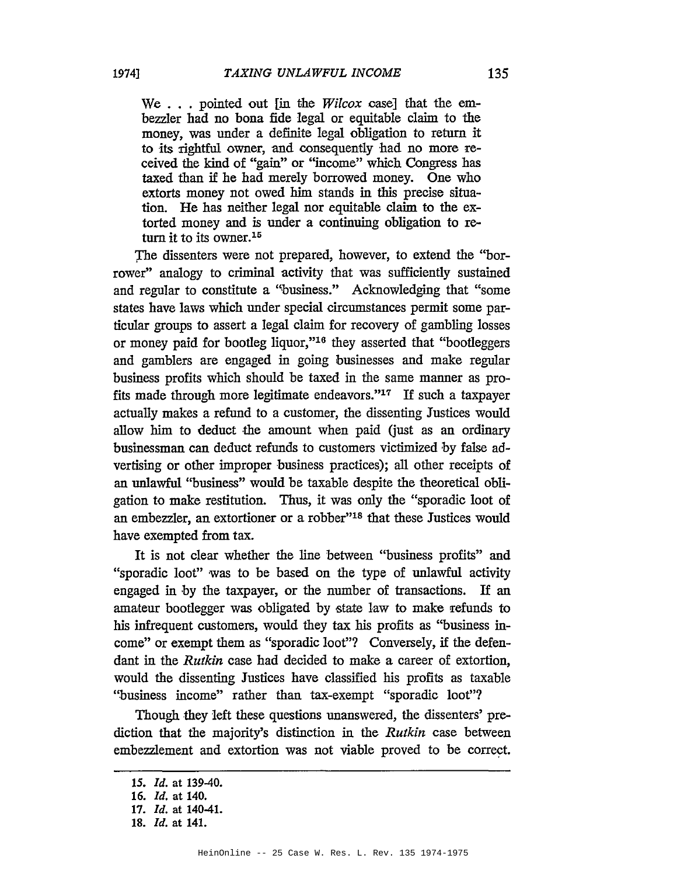We ... pointed out [in the *Wilcox* case] that the embezzler had no bona fide legal or equitable claim to the money, was under a definite legal obligation to return it to its rightful owner, and consequently had no more received the kind of "gain" or "income" which Congress has taxed than if he had merely borrowed money. One who extorts money not owed him stands in this precise situation. He has neither legal nor equitable claim to the extorted money and is under a continuing obligation to return it to its owner.<sup>15</sup>

The dissenters were not prepared, however, to extend the "borrower" analogy to criminal activity that was sufficiently sustained and regular to constitute a "business." Acknowledging that "some states have laws which under special circumstances permit some particular groups to assert a legal claim for recovery of gambling losses or money paid for bootleg liquor,"16 they asserted that "bootleggers and gamblers are engaged in going businesses and make regular business profits which should be taxed in the same manner as profits made through more legitimate endeavors."17 If such a taxpayer actually makes a refund to a customer, the dissenting Justices would allow him to deduct the amount when paid (just as an ordinary businessman can deduct refunds to customers victimized by false advertising or other improper business practices); all other receipts of an unlawful "business" would be taxable despite the theoretical obligation to make restitution. Thus, it was only the "sporadic loot of an embezzler, an extortioner or a robber"18 that these Justices would have exempted from tax.

It is not clear whether the line between "business profits" and "sporadic loot" was to be based on the type of unlawful activity engaged in by the taxpayer, or the number of transactions. If an amateur bootlegger was obligated by state law to make refunds to his infrequent customers, would they tax his profits as "business income" or exempt them as "sporadic loot"? Conversely, if the defendant in the *Rutkin* case had decided to make a career of extortion, would the dissenting Justices have classified his profits as taxable ''business income" rather than tax-exempt "sporadic loot"?

Though they left these questions unanswered, the dissenters' prediction that the majority's distinction in the *Rutkin* case between embezzlement and extortion was not viable proved to be correct.

<sup>15.</sup> *Id.* at 139-40.

*<sup>16.</sup> Id.* at 140.

*<sup>17.</sup> Id.* at 140-41.

<sup>18.</sup> *Id.* at 141.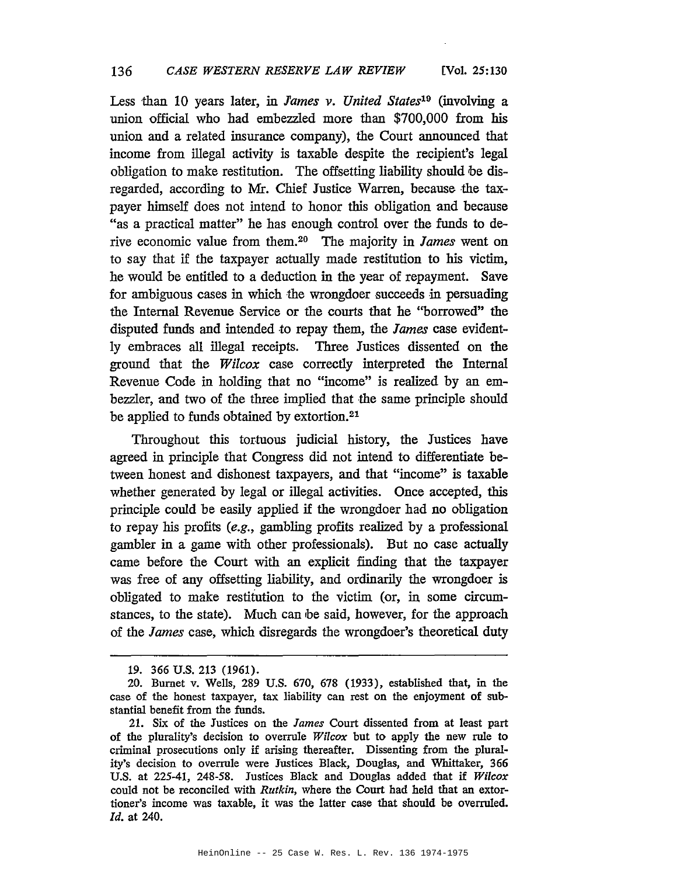Less than 10 years later, in *lames v. United States19* (involving a union official who had embezzled more than \$700,000 from his union and a related insurance company), the Court announced that income from illegal activity is taxable despite the recipient's legal obligation to make restitution. The offsetting liability should be disregarded, according to Mr. Chief Justice Warren, because the taxpayer himself does not intend to honor this obligation and because "as a practical matter" he has enough control over the funds to derive economic value from them.20 The majority in *James* went on to say that if the taxpayer actually made restitution to his victim, he would be entitled to a deduction in the year of repayment. Save for ambiguous cases in which the wrongdoer succeeds in persuading the Internal Revenue Service or the courts that he "borrowed" the disputed funds and intended to repay them, the *James* case evidently embraces all illegal receipts. Three Justices dissented on the ground that the *Wilcox* case correctly interpreted the Internal Revenue Code in holding that no "income" is realized by an embezzler, and two of the three implied that the same principle should be applied to funds obtained by extortion.21

Throughout this tortuous judicial history, the Justices have agreed in principle that Congress did not intend to differentiate between honest and dishonest taxpayers, and that "income" is taxable whether generated by legal or illegal activities. Once accepted, this principle could be easily applied if the wrongdoer had no obligation to repay his profits (e.g., gambling profits realized by a professional gambler in a game with other professionals). But no case actually came before the Court with an explicit finding that the taxpayer was free of any offsetting liability, and ordinarily the wrongdoer is obligated to make restitution to the victim (or, in some circumstances, to the state). Much can be said, however, for the approach of the *James* case, which disregards the wrongdoer's theoretical duty

<sup>19.</sup> 366 U.S. 213 (1961).

<sup>20.</sup> Burnet v. Wells, 289 U.S. 670, 678 (1933), established that, in the case of the honest taxpayer, tax liability can rest on the enjoyment of substantial benefit from the funds.

<sup>21.</sup> Six of the Justices on the James Court dissented from at least part of the plurality's decision to overrule *Wilcox* but to apply the new rule to criminal prosecutions only if arising thereafter. Dissenting from the plurality's decision to overrule were Justices Black, Douglas, and Whittaker, 366 U.S. at 225-41, 248-58. Justices Black and Douglas added that if *Wilcox* could not be reconciled with *Rutkin,* where the Court had held that an extortioner's income was taxable, it was the latter case that should be overruled. *ld.* at 240.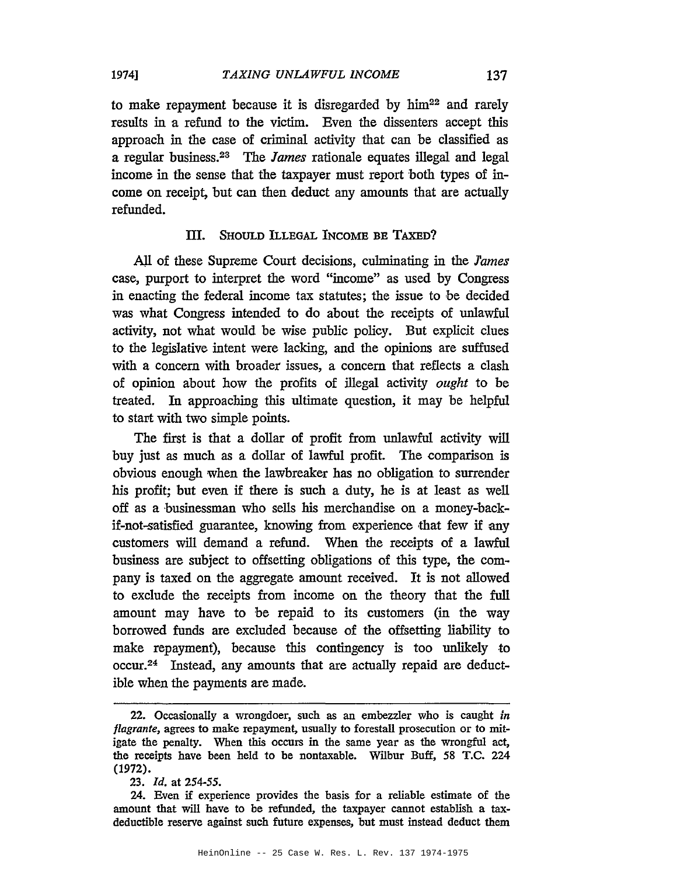to make repayment because it is disregarded by him<sup>22</sup> and rarely results in a refund to the victim. Even the dissenters accept this approach in the case of criminal activity that can be classified as a regular business.<sup>23</sup> The *lames* rationale equates illegal and legal income in the sense that the taxpayer must report both types of income on receipt, but can then deduct any amounts that are actually refunded.

### III. SHOULD ILLEGAL INCOME BE TAXED?

AJl of these Supreme Court decisions, culminating in the *lames* case, purport to interpret the word "income" as used by Congress in enacting the federal income tax statutes; the issue to be decided was what Congress intended to do about the receipts of unlawful activity, not what would be wise public policy. But explicit clues to the legislative intent were lacking, and the opinions are suffused with a concern with broader issues, a concern that reflects a clash of opinion about how the profits of illegal activity *ought* to be treated. In approaching this ultimate question, it may be helpful to start with two simple points.

The first is that a dollar of profit from unlawful activity will buy just as much as a dollar of lawful profit. The comparison is obvious enough when the lawbreaker has no obligation to surrender his profit; but even if there is such a duty, he is at least as well off as a businessman who sells his merchandise on a money-backif-not-satisfied guarantee, knowing from experience that few if any customers will demand a refund. When the receipts of a lawful business are subject to offsetting obligations of this type, the company is taxed on the aggregate amount received. It is not allowed to exclude the receipts from income on the theory that the full amount may have to be repaid to its customers (in the way borrowed funds are excluded because of the offsetting liability to make repayment), because this contingency is too unlikely to occur.24 Instead, any amounts that are actually repaid are deductible when the payments are made.

HeinOnline -- 25 Case W. Res. L. Rev. 137 1974-1975

<sup>22.</sup> Occasionally a wrongdoer, such as an embezzler who is caught *in flagrante,* agrees to make repayment, usually to forestall prosecution or to mitigate the penalty. When this occurs in the same year as the wrongful act, the receipts have been held to be nontaxable. Wilbur Buff, 58 T.C. 224 (1972).

*<sup>23.</sup> Id.* at 254-55.

<sup>24.</sup> Even if experience provides the basis for a reliable estimate of the amount that will have to be refunded, the taxpayer cannot establish a taxdeductible reserve against such future expenses, but must instead deduct them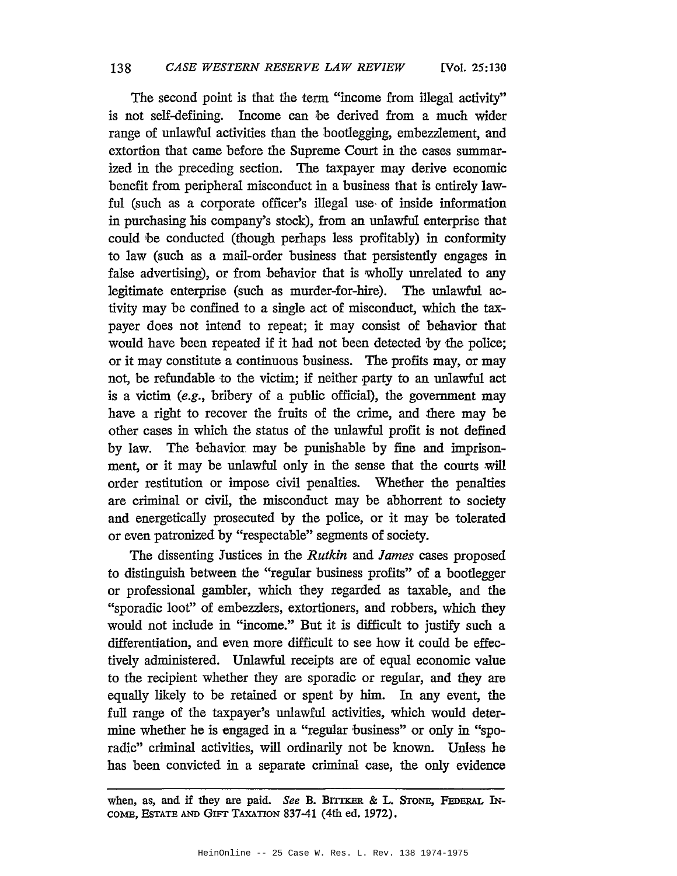The second point is that the term "income from illegal activity" is not self-defining. Income can be derived from a much wider range of unlawful activities than the bootlegging, embezzlement, and extortion that came before the Supreme Court in the cases summarized in the preceding section. The taxpayer may derive economic benefit from peripheral misconduct in a business that is entirely lawful (such as a corporate officer's illegal use, of inside information in purchasing his company's stock), from an unlawful enterprise that could be conducted (though perhaps less profitably) in conformity to law (such as a mail-order business that persistently engages in false advertising), or from behavior that is wholly unrelated to any legitimate enterprise (such as murder-for-hire). The unlawful activity may be confined to a single act of misconduct, which the taxpayer does not intend to repeat; it may consist of behavior that would have been repeated if it had not been detected by 'the police; or it may constitute a continuous business. The profits may, or may not, be refundable to the victim; if neither party to an unlawful act is a victim (e.g., bribery of a public official), the government may have a right to recover the fruits of the crime, and there may be other cases in which the status of the unlawful profit is not defined by law. The behavior. may be punishable by fine and imprisonment, or it may be unlawful only in the sense that the courts will order restitution or impose civil penalties. Whether the penalties are criminal or civil, the misconduct may be abhorrent to society and energetically prosecuted by the police, or it may be tolerated or even patronized by "respectable" segments of society.

The dissenting Justices in the *Rutkin* and *James* cases proposed to distinguish between the "regular business profits" of a bootlegger or professional gambler, which they regarded as taxable, and the "sporadic loot" of embezzlers, extortioners, and robbers, which they would not include in "income." But it is difficult to justify such a differentiation, and even more difficult to see how it could be effectively administered. Unlawful receipts are of equal economic value to the recipient whether they are sporadic or regular, and they are equally likely to be retained or spent by him. In any event, the full range of the taxpayer's unlawful activities, which would determine whether he is engaged in a "regular business" or only in "sporadic" criminal activities, will ordinarily not be known. Unless he has been convicted in a separate criminal case, the only evidence

when, as, and if they are paid. *See* B. BITTKER & L. STONE, FEDERAL IN-COME, EsTATE AND GIFT TAXATION 837-41 (4th ed. 1972).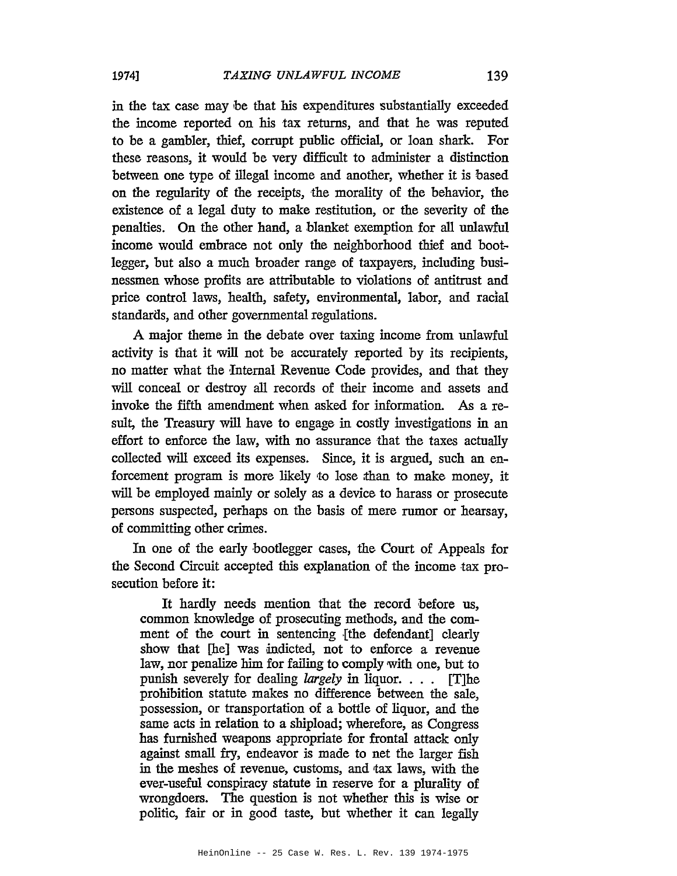in the tax case may be that his expenditures substantially exceeded the income reported on his tax returns, and that he was reputed to be a gambler, thief, corrupt public official, or loan shark. For these reasons, it would be very difficult to administer a distinction between one type of illegal income and another, whether it is based on the regularity of the receipts, the morality of the behavior, the existence of a legal duty to make restitution, or the severity of the penalties. On the other hand, a blanket exemption for all unlawful income would embrace not only the neighborhood thief and bootlegger, but also a much broader range of taxpayers, including businessmen whose profits are attributable to violations of antitrust and price control laws, health, safety, environmental, labor, and racial standards, and other governmental regulations.

A major theme in the debate over taxing income from unlawful activity is that it will not be accurately reported by its recipients, no matter what the fnternal Revenue Code provides, and that they will conceal or destroy all records of their income and assets and invoke the fifth amendment when asked for information. As a result, the Treasury will have to engage in costly investigations in an effort to enforce the law, with no assurance that the taxes actually collected will exceed its expenses. Since, it is argued, such an enforcement program is more likely 10 lose than to make money, it will be employed mainly or solely as a device to harass or prosecute persons suspected, perhaps on the basis of mere rumor or hearsay, of committing other crimes.

In one of the early bootlegger cases, the Court of Appeals for the Second Circuit accepted this explanation of the income tax prosecution before it:

It hardly needs mention that the record before us, common knowledge of prosecuting methods, and the comment of the court in sentencing {the defendant] clearly show that [he] was indicted, not to enforce a revenue law, nor penalize him for failing to comply with one, but to punish severely for dealing *largely* in liquor. . .. [T]he prohibition statute makes no difference between the sale, possession, or transportation of a bottle of liquor, and the same acts in relation to a shipload; wherefore, as Congress has furnished weapons appropriate for frontal attack only against small fry, endeavor is made to net the larger fish in the meshes of revenue, customs, and tax laws, with the ever-useful conspiracy statute in reserve for a plurality of wrongdoers. The question is not whether this is wise or politic, fair or in good taste, but whether it can legally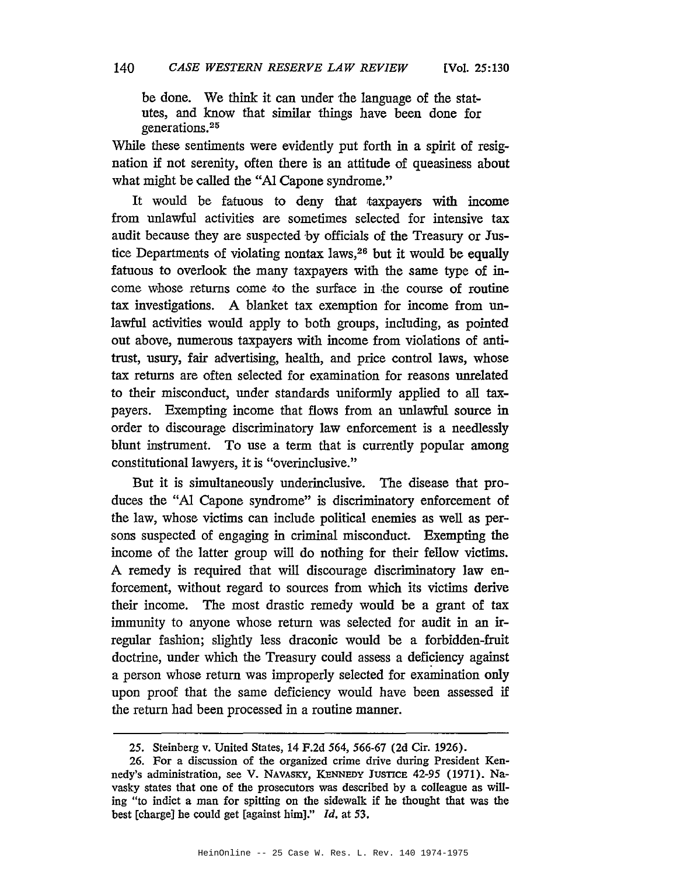be done. We think it can under the language of the statutes, and know that similar things have been done for generations.25

While these sentiments were evidently put forth in a spirit of resignation if not serenity, often there is an attitude of queasiness about what might be called the "Al Capone syndrome."

It would be fatuous to deny that taxpayers with income from unlawful activities are sometimes selected for intensive tax audit because they are suspected by officials of the Treasury or Justice Departments of violating nontax laws,<sup>26</sup> but it would be equally fatuous to overlook the many taxpayers with the same type of income whose returns come to the surface in the course of routine tax investigations. A blanket tax exemption for income from unlawful activities would apply to both groups, including, as pointed out above, numerous taxpayers with income from violations of antitrust, usury, fair advertising, health, and price control laws, whose tax returns are often selected for examination for reasons unrelated to their misconduct, under standards uniformly applied to all taxpayers. Exempting income that flows from an unlawful source in order to discourage discriminatory law enforcement is a needlessly blunt instrument. To use a term that is currently popular among constitutional lawyers, it is "overinclusive."

But it is simultaneously underinclusive. The disease that produces the "AI Capone syndrome" is discriminatory enforcement of the law, whose victims can include political enemies as well as persons suspected of engaging in criminal misconduct. Exempting the income of the latter group will do nothing for their fellow victims. A remedy is required that will discourage discriminatory law enforcement, without regard to sources from which its victims derive their income. The most drastic remedy would be a grant of tax immunity to anyone whose return was selected for audit in an irregular fashion; slightly less draconic would be a forbidden-fruit doctrine, under which the Treasury could assess a deficiency against a person whose return was improperly selected for examination only upon proof that the same deficiency would have been assessed if the return had been processed in a routine manner.

<sup>25.</sup> Steinberg v. United States, 14 F.2d 564, 566-67 (2d Cir. 1926).

<sup>26.</sup> For a discussion of the organized crime drive during President Kennedy's administration, see V. NAVASKY, KENNEDY JUSTICE 42-95 (1971). Navasky states that one of the prosecutors was described by a colleague as willing "to indict a man for spitting on the sidewalk if he thought that was the best [charge] he could get [against him]."  $Id$ , at 53.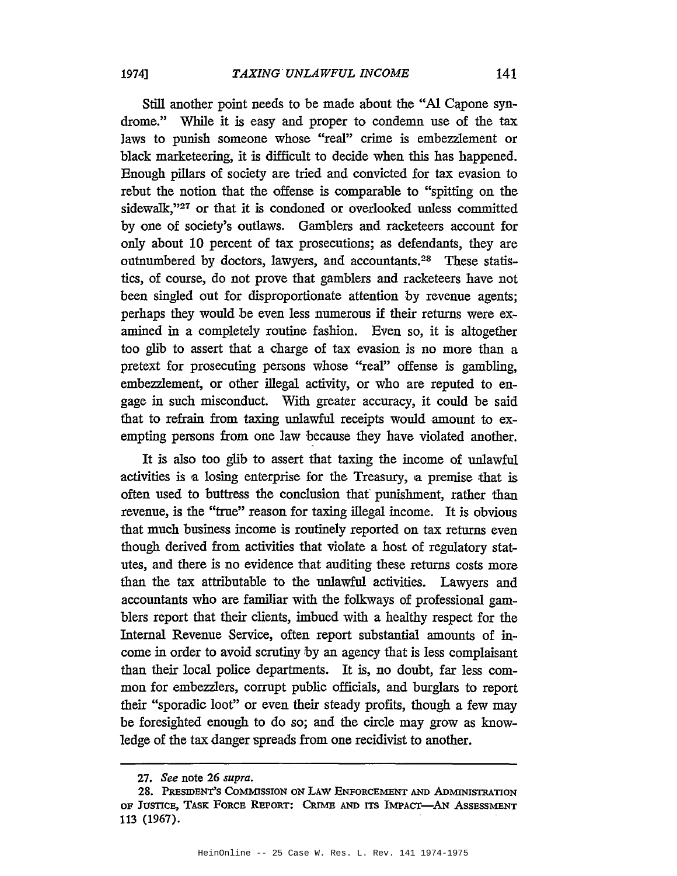Still another point needs to be made about the "Al Capone syndrome." While it is easy and proper to condemn use of the tax laws to punish someone whose "real" crime is embezzlement or black marketeering, it is difficult to decide when this has happened. Enough pillars of society are tried and convicted for tax evasion to rebut the notion that the offense is comparable to "spitting on the sidewalk,"<sup>27</sup> or that it is condoned or overlooked unless committed by one of society's outlaws. Gamblers and racketeers account for only about 10 percent of tax prosecutions; as defendants, they are outnumbered by doctors, lawyers, and accountants.28 These statistics, of course, do not prove that gamblers and racketeers have not been singled out for disproportionate attention by revenue agents; perhaps they would be even less numerous if their returns were examined in a completely routine fashion. Even so, it is altogether too glib to assert that a charge of tax evasion is no more than a pretext for prosecuting persons whose "real" offense is gambling, embezzlement, or other illegal activity, or who are reputed to engage in such misconduct. With greater accuracy, it could be said that to refrain from taxing unlawful receipts would amount to exempting persons from one law because they have violated another.

It is also too glib to assert that taxing the income of unlawful activities is a losing enterprise for the Treasury, a premise that is often used to buttress the conclusion that' punishment, rather than revenue, is the "true" reason for taxing illegal income. It is obvious that much business income is routinely reported on tax returns even though derived from activities that violate a host of regulatory statutes, and there is no evidence that auditing these returns costs more than the tax attributable to the unlawful activities. Lawyers and accountants who are familiar with the folkways of professional gamblers report that their clients, imbued with a healthy respect for the Internal Revenue Service, often report substantial amounts of income in order to avoid scrutiny by an agency that is less complaisant than their local police departments. It is, no doubt, far less common for embezzlers, corrupt public officials, and burglars to report their "sporadic loot" or even their steady profits, though a few may be foresighted enough to do so; and the circle may grow as knowledge of the tax danger spreads from one recidivist to another.

*<sup>27.</sup> See* note 26 *supra.*

<sup>28.</sup> PRESIDENT'S COMMISSION ON LAW ENFORCEMENT AND ADMINISTRATION OF JUSTICE, TASK FORCE REPORT: CRrMB AND ITS IMPAcr-AN ASSESSMENT 113 (1967).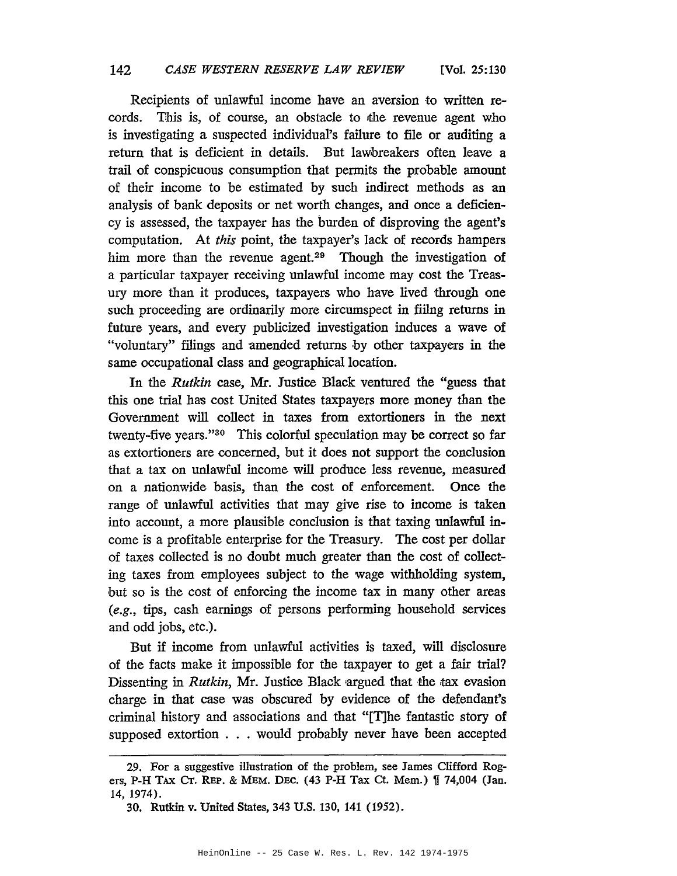Recipients of unlawful income have an aversion to written records. This is, of course, an obstacle to the revenue agent who is investigating a suspected individual's failure to file or auditing a return that is deficient in details. But lawbreakers often leave a trail of conspicuous consumption that permits the probable amount of their income to be estimated by such indirect methods as an analysis of bank deposits or net worth changes, and once a deficiency is assessed, the taxpayer has the burden of disproving the agent's computation. At *this* point, the taxpayer's lack of records hampers him more than the revenue agent.<sup>29</sup> Though the investigation of a particular taxpayer receiving unlawful income may cost the Treasury more than it produces, taxpayers who have lived through one such proceeding are ordinarily more circumspect in fillng returns in future years, and every publicized investigation induces a wave of "voluntary" filings and amended returns by other taxpayers in the same occupational class and geographical location.

In the *Rutkin* case, Mr. Justice Black ventured the "guess that this one trial has cost United States taxpayers more money than the Government will collect in taxes from extortioners in the next twenty-five years."30 This colorful speculation may be correct so far as extortioners are concerned, but it does not support the conclusion that a tax on unlawful income will produce less revenue, measured on a nationwide basis, than the cost of enforcement. Once the range of unlawful activities that may give rise to income is taken into account, a more plausible conclusion is that taxing unlawful income is a profitable enterprise for the Treasury. The cost per dollar of taxes collected is no doubt much greater than the cost of collecting taxes from employees subject to the wage withholding system, but so is the cost of enforcing the income tax in many other areas (e.g., tips, cash earnings of persons performing household services and odd jobs, etc.).

But if income from unlawful activities is taxed, will disclosure of the facts make it impossible for the taxpayer to get a fair trial? Dissenting in *Rutkin*, Mr. Justice Black argued that the tax evasion charge in that case was obscured by evidence of the defendant's criminal history and associations and that "[T]he fantastic story of supposed extortion . . . would probably never have been accepted

<sup>29.</sup> For a suggestive illustration of the problem, see James Clifford Rogers, P-H TAX CT. REP. & MEM. DEC. (43 P-H Tax Ct. Mem.) [ 74,004 (Jan. 14,1974).

<sup>30.</sup> Rutkin v. United States, 343 U.S. 130, 141 (1952).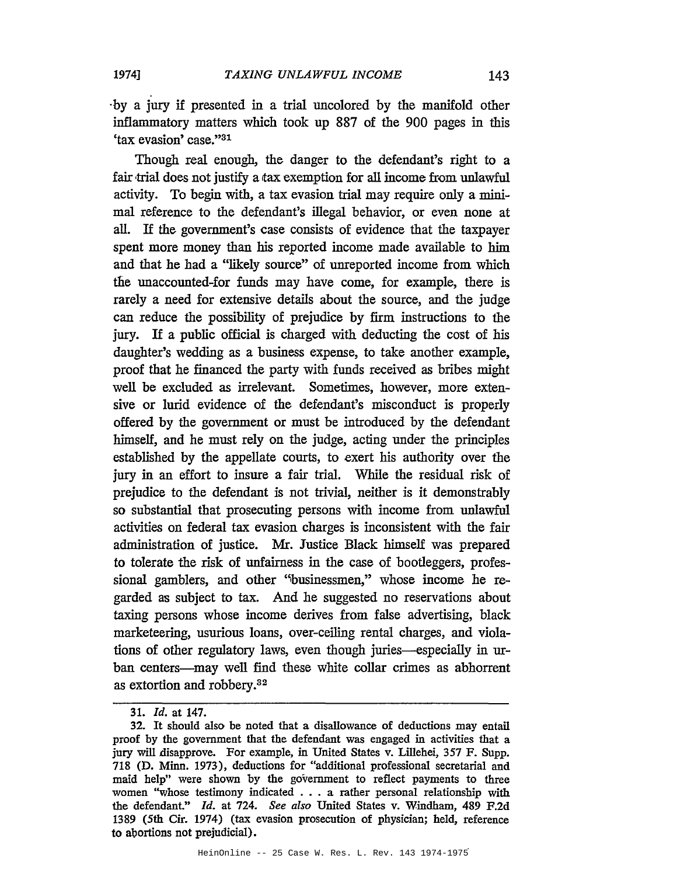-by a jury if presented in a trial uncolored by the manifold other inflammatory matters which took up 887 of the 900 pages in this 'tax evasion' case."31

Though real enough, the danger to the defendant's right to a fair trial does not justify a tax exemption for all income from unlawful activity. To begin with, a tax evasion trial may require only a minimal reference to the defendant's illegal behavior, or even none at all. If the government's case consists of evidence that the taxpayer spent more money than his reported income made available to him and that he had a "likely source" of unreported income from which the unaccounted-for funds may have come, for example, there is rarely a need for extensive details about the source, and the judge can reduce the possibility of prejudice by firm instructions to the jury. If a public official is charged with deducting the cost of his daughter's wedding as a business expense, to take another example, proof that he financed the party with funds received as bribes might well be excluded as irrelevant. Sometimes, however, more extensive or lurid evidence of the defendant's misconduct is properly offered by the government or must be introduced by the defendant himself, and he must rely on the judge, acting under the principles established by the appellate courts, to exert his authority over the jury in an effort to insure a fair trial. While the residual risk of prejudice to the defendant is not trivial, neither is it demonstrably so substantial that prosecuting persons with income from unlawful activities on federal tax evasion charges is inconsistent with the fair administration of justice. Mr. Justice Black himself was prepared to tolerate the risk of unfairness in the case of bootleggers, professional gamblers, and other "businessmen," whose income he regarded as subject to tax. And he suggested no reservations about taxing persons whose income derives from false advertising, black marketeering, usurious loans, over-ceiling rental charges, and violations of other regulatory laws, even though juries—especially in urban centers---may well find these white collar crimes as abhorrent as extortion and robbery.32

<sup>31.</sup> *ld.* at 147.

<sup>32.</sup> It should also be noted that a disallowance of deductions may entail proof by the government that the defendant was engaged in activities that a jury will disapprove. For example, in United States v. Lillehei, 357 F. Supp. 718 (D. Minn. 1973), deductions for "additional professional secretarial and maid help" were shown by the government to reflect payments to three women "whose testimony indicated . . . a rather personal relationship with the defendant." *ld.* at 724. *See also* United States v. Windham, 489 F.2d 1389 (5th Cir. 1974) (tax evasion prosecution of physician; held, reference to abortions not prejudicial).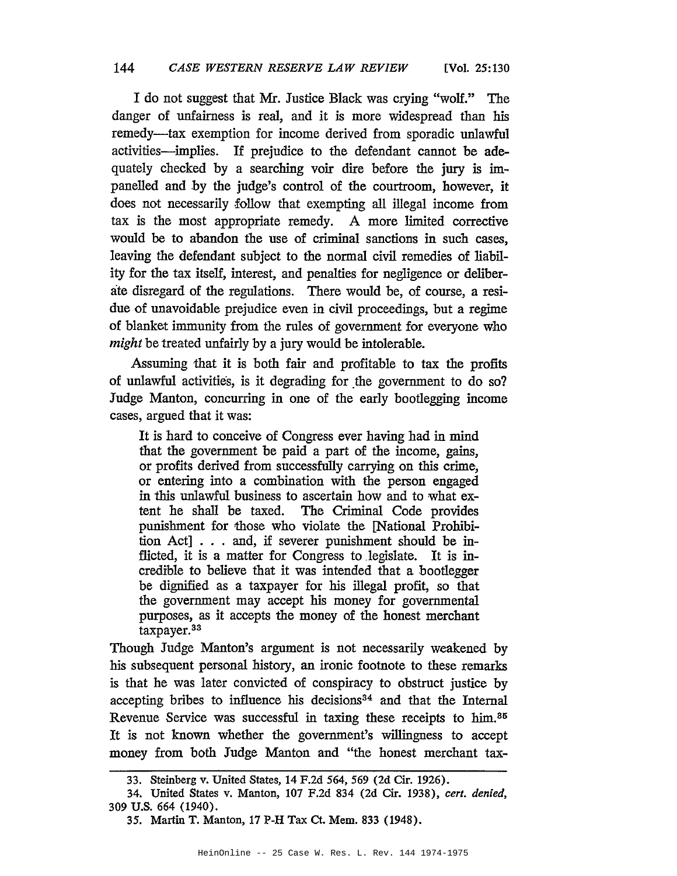I do not suggest that Mr. Justice Black was crying "wolf." The danger of unfairness is real, and it is more widespread than his remedy-tax exemption for income derived from sporadic unlawful activities-implies. If prejudice to the defendant cannot be adequately checked by a searching voir dire before the jury is impanelled and by the judge's control of the courtroom, however, it does not necessarily follow that exempting all illegal income from tax is the most appropriate remedy. A more limited corrective would be to abandon the use of criminal sanctions in such cases, leaving the defendant subject to the normal civil remedies of liability for the tax itself, interest, and penalties for negligence or deliberate disregard of the regulations. There would be, of course, a residue of unavoidable prejudice even in civil proceedings, but a regime of blanket immunity from the rules of government for everyone who *might* be treated unfairly by a jury would be intolerable.

Assuming that it is both fair and profitable to tax the profits of unlawful activities, is it degrading for the government to do so? Judge Manton, concurring in one of the early bootlegging income cases, argued that it was:

It is hard to conceive of Congress ever having had in mind that the government be paid a part of the income, gains, or profits derived from successfully carrying on this crime, or entering into a combination with the person engaged in this unlawful business to ascertain how and to what extent he shall be taxed. The Criminal Code provides punishment for those who violate the [National Prohibition Act] ... and, if severer punishment should be inflicted, it is a matter for Congress to legislate. It is incredible to believe that it was intended that a bootlegger be dignified as a taxpayer for his illegal profit, so that the government may accept his money for governmental purposes, as it accepts the money of the honest merchant taxpayer.33

Though Judge Manton's argument is not necessarily weakened by his subsequent personal history, an ironic footnote to these remarks is that he was later convicted of conspiracy to obstruct justice by accepting bribes to influence his decisions<sup>34</sup> and that the Internal Revenue Service was successful in taxing these receipts to him.<sup>85</sup> It is not known whether the government's willingness to accept money from both Judge Manton and "the honest merchant tax-

<sup>33.</sup> Steinberg v. United States, 14 F.2d 564, 569 (2d Cir. 1926).

<sup>34.</sup> United States v. Manton, 107 F.2d 834 (2d Cir. 1938), *cert. denied,* 309 U.S. 664 (1940).

<sup>35.</sup> Martin T. Manton, 17 P-H Tax Ct. Mem. 833 (1948).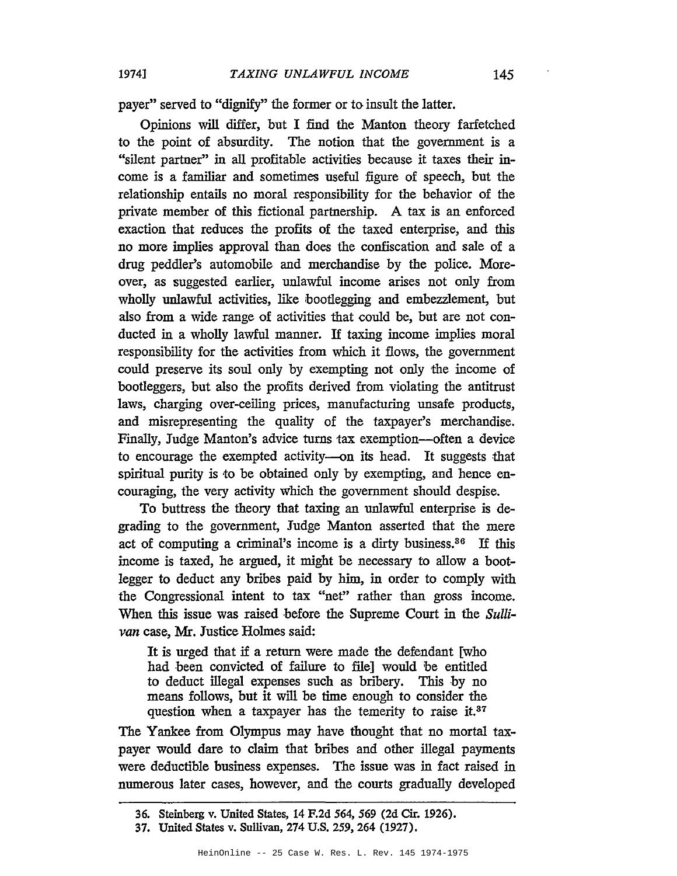payer" served to "dignify" the former or to insult the latter.

Opinions will differ, but I find the Manton theory farfetched to the point of absurdity. The notion that the government is a "silent partner" in all profitable activities because it taxes their income is a familiar and sometimes useful figure of speech, but the relationship entails no moral responsibility for the behavior of the private member of this fictional partnership. A tax is an enforced exaction that reduces the profits of the taxed enterprise, and this no more implies approval than does the confiscation and sale of a drug peddler's automobile and merchandise by the police. Moreover, as suggested earlier, unlawful income arises not only from wholly unlawful activities, like bootlegging and embezzlement, but also from a wide range of activities that could be, but are not conducted in a wholly lawful manner. If taxing income implies moral responsibility for the activities from which it flows, the government could preserve its soul only by exempting not only the income of bootleggers, but also the profits derived from violating the antitrust laws, charging over-ceiling prices, manufacturing unsafe products, and misrepresenting the quality of the taxpayer's merchandise. Finally, Judge Manton's advice turns tax exemption—often a device to encourage the exempted activity-on its head. It suggests that spiritual purity is to be obtained only by exempting, and hence encouraging, the very activity which the government should despise.

To buttress the theory that taxing an unlawful enterprise is degrading to the government, Judge Manton asserted that the mere act of computing a criminal's income is a dirty business.36 If this income is taxed, he argued, it might be necessary to allow a bootlegger to deduct any bribes paid by him, in order to comply with the Congressional intent to tax "net" rather than gross income. When this issue was raised before the Supreme Court in the *Sullivan* case, Mr. Justice Holmes said:

It is urged that if a return were made the defendant [who had been convicted of failure to file] would be entitled to deduct illegal expenses such as bribery. This by no means follows, but it will be time enough to consider the question when a taxpayer has the temerity to raise it.<sup>37</sup>

The Yankee from Olympus may have thought that no mortal taxpayer would dare to claim that bribes and other illegal payments were deductible business expenses. The issue was in fact raised in numerous later cases, however, and the courts gradually developed

<sup>36.</sup> Steinberg v. United States, 14 F.2d 564, 569 (2d Cir. 1926).

<sup>37.</sup> United States v. Sullivan, 274 U.S. 259, 264 (1927).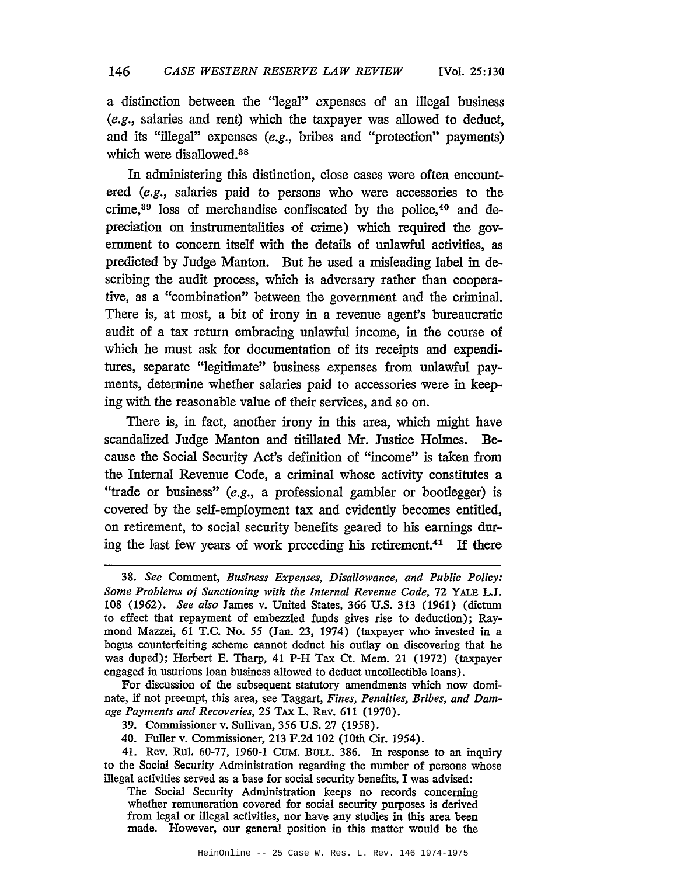a distinction between the "legal" expenses of an illegal business (e.g., salaries and rent) which the taxpayer was allowed to deduct, and its "illegal" expenses (e.g., bribes and "protection" payments) which were disallowed.38

In administering this distinction, close cases were often encountered (e.g., salaries paid to persons who were accessories to the crime,39 loss of merchandise confiscated by the police,40 and depreciation on instrumentalities of orime) which required the government to concern itself with the details of unlawful activities, as predicted by Judge Manton. But he used a misleading label in describing the audit process, which is adversary rather than cooperative, as a "combination" between the government and the criminal. There is, at most, a bit of irony in a revenue agent's bureaucratic audit of a tax return embracing unlawful income, in the course of which he must ask for documentation of its receipts and expenditures, separate "legitimate" business expenses from unlawful payments, determine whether salaries paid to accessories were in keeping with the reasonable value of their services, and so on.

There is, in fact, another irony in this area, which might have scandalized Judge Manton and titillated Mr. Justice Holmes. Because the Social Security Act's definition of "income" is taken from the Internal Revenue Code, a criminal whose activity constitutes a "trade or business" (e.g., a professional gambler or bootlegger) is covered by the self-employment tax and evidently becomes entitled, on retirement, to social security benefits geared to his earnings during the last few years of work preceding his retirement.41 If there

For discussion of the subsequent statutory amendments which now dominate, if not preempt, this area, see Taggart, *Fines, Penalties, Bribes, and Damage Payments and Recoveries,* 25 TAX L. REv. 611 (1970).

39. Commissioner v. Sullivan, 356 U.S. 27 (1958).

40. Fuller v. Commissioner, 213 F.2d 102 (10th Cir. 1954).

41. Rev. Rul. 60-77, 1960-1 CuM. BULL. 386. In response to an inquiry to the Social Security Administration regarding the number of persons whose illegal activities served as a base for social security benefits, I was advised:

The Social Security Administration keeps no records concerning whether remuneration covered for social security purposes is derived from legal or illegal activities, nor have any studies in this area been made. However, our general position in this matter would be the

*<sup>38.</sup> See* Comment, *Business Expenses, Disallowance, and Public Policy: Some Problems of Sanctioning with the Internal Revenue Code,* 72 YALE L.J. 108 (1962). *See also* James v. United States, 366 U.S. 313 (1961) (dictum to effect that repayment of embezzled funds gives rise to deduction); Raymond Mazzei, 61 T.C. No. 55 (Jan. 23, 1974) (taxpayer who invested in a bogus counterfeiting scheme cannot deduct his outlay on discovering that he was duped); Herbert E. Tharp, 41 P-H Tax Ct. Mem. 21 (1972) (taxpayer engaged in usurious loan business allowed to deduct uncollectible loans).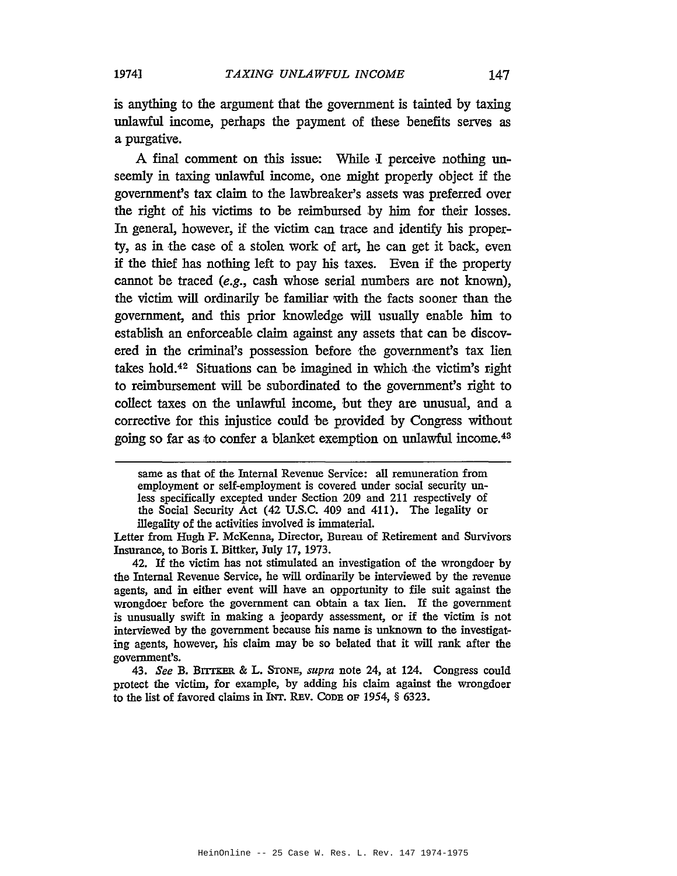is anything to the argument that the government is tainted by taxing unlawful income, perhaps the payment of these benefits serves as a purgative.

A final comment on this issue: While I perceive nothing unseemly in taxing unlawful income, one might properly object if the government's tax claim to the lawbreaker's assets was preferred over the right of his victims to be reimbursed by him for their losses. In general, however, if the victim can trace and identify his property, as in the case of a stolen work of art, he can get it back, even if the thief has nothing left to pay his taxes. Even if the property cannot be traced (e.g., cash whose serial numbers are not known), the victim will ordinarily be familiar with the facts sooner than the government, and this prior knowledge will usually enable him to establish an enforceable claim against any assets that can be discovered in the criminal's possession before the government's tax lien takes hold.<sup>42</sup> Situations can be imagined in which the victim's right to reimbursement will be subordinated to the government's right to collect taxes on the unlawful income, but they are unusual, and a corrective for this injustice could 'be provided by Congress without going so far as to confer a blanket exemption on unlawful income.43

*43. See* B. BITI'KER & L. STONE, *supra* note 24, at 124. Congress could protect the victim, for example, by adding his claim against the wrongdoer to the list of favored claims in INT. REv. CoDE OF 1954, § 6323.

same as that of the Internal Revenue Service: all remuneration from employment or self-employment is covered under social security unless specifically excepted under Section 209 and 211 respectively of the Social Security Act (42 U.S.C. 409 and 411). The legality or illegality of the activities involved is immaterial.

Letter from Hugh F. McKenna, Director, Bureau of Retirement and Survivors Insurance, to Boris I. Bittker, July 17, 1973.

<sup>42.</sup> If the victim has not stimulated an investigation of the wrongdoer by the Internal Revenue Service, he will ordinarily be interviewed by the revenue agents, and in either event will have an opportunity to file suit against the wrongdoer before the government can obtain a tax lien. If the government is unusually swift in making a jeopardy assessment, or if the victim is not interviewed by the government because his name is unknown to the investigating agents, however, his claim may be so belated that it will rank after the government's.